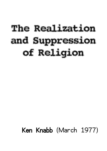

## Ken Knabb (March 1977)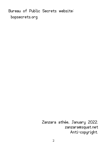Bureau of Public Secrets website: bopsecrets.org

> Zanzara athée, January 2022. zanzara@squat.net Anti-copyright.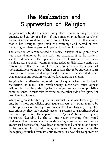## The Realization and Suppression of Religion

Religion undoubtedly surpasses every other human activity in sheer quantity and variety of bullshit. If one considers in addition its role as accomplice of class domination throughout history, it is little wonder that it has brought upon itself the contempt and hatred of ever increasing numbers of people, in particular of revolutionaries.

The situationists recommenced the radical critique of religion, which had been abandoned by the Left, and extended it to its modern, secularized forms — the spectacle, sacrificial loyalty to leaders or ideology, etc. But their holding to a one-sided, undialectical position on religion has reflected and reinforced certain defects in the situationist movement. Developing out of the perspective that to be superseded, art must be both realized and suppressed, situationist theory failed to see that an analogous position was called for regarding religion.

Religion is the alienated expression of the qualitative, the "fantastic realization of man." The revolutionary movement must oppose religion, but not in preferring to it a vulgar amoralism or philistine common sense. It must take its stand on the other side of religion. Not less than it but more.

When religion is treated by the situationists, it is usually brought in only in its most superficial, spectacular aspects, as a straw man to be contemptuously refuted by those incapable of refuting anything else. Exceptionally, they may vaguely accept a Boehme or a Brotherhood of the Free Spirit into their pantheon of "greats" because they are mentioned favorably by the SI. But never anything that would challenge them personally. Issues deserving examination and debate are ignored because they have been monopolized by religion or happen to be couched in partially religious terms. Some may sense the inadequacy of such a dismissal, but are not sure how else to operate on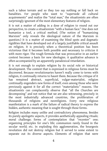such a taboo terrain and so they too say nothing or fall back on banalities. For people who want to "supersede all cultural acquirements" and realize the "total man," the situationists are often surprisingly ignorant of the most elementary features of religion.

It is not a matter of adding in a dose of religion to round out our perspective, to create a situationism "with a human face." One does not humanize a tool, a critical method. (The notion of "humanizing Marxism" only reveals the ideological nature of the Marxism in question.) It is a matter of examining the blind spots and dogmatic rigidities that have developed out of a largely justifiable critical assault on religion. It is precisely when a theoretical position has been victorious that it becomes both possible and necessary to criticize it with more rigor. The rough formula that was provocative in an earlier context becomes a basis for new ideologies. A qualitative advance is often accompanied by an apparently paradoxical retardation.

It is not enough to explain religion by its social role or historical development. The content that is expressed in religious forms must be discovered. Because revolutionaries haven't really come to terms with religion, it continually returns to haunt them. Because the critique of it has remained abstract, superficial, vulgar-materialist, religion continually engenders new forms of itself, even among those who were previously against it for all the correct "materialistic" reasons. The situationists can complacently observe that "all the Churches are decomposing" and not notice that we are also witnessing, precisely in the most industrially advanced countries, the proliferation of thousands of religions and neoreligions. Every new religious manifestation is a mark of the failure of radical theory to express the hidden, authentic meaning that is sought through those forms.

Religion includes many unlike and contradictory phenomena. Besides its purely apologetic aspects, it provides aesthetically appealing rituals; moral challenge; forms of contemplation that "recenter" one; organizing principles for one's life; communion rarely found in the secular world; etc. In exploding this agglomeration, the bourgeois revolution did not destroy religion but it served to some extent to separate out its diverse aspects. Elements of religion that were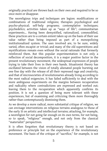originally practical are thrown back on their own and required to be so once more or disappear.

The neoreligious trips and techniques are legion: modifications or combinations of traditional religions; therapies psychological and psycho-physical; self-help programs; contemplative techniques; psychedelics; activities taken up as "ways of life"; communitarian experiments... Having been demystified, rationalized, commodified, these practices are to a certain extent taken up on the basis of their use value rather than being imposed as part of a monopolizing institutionalized system. The uses involved are, to be sure, widely varied, often escapist or trivial; and many of the old superstitions and mystifications remain even without the social rationale that formerly reinforced them. But this popular experimentation is not only a reflection of social decomposition, it is a major positive factor in the present revolutionary movement, the widespread expression of people trying to take their lives in their own hands. Situationist theory has oscillated between the vision of totally alienated people bursting out one fine day with the release of all their repressed rage and creativity, and that of microsocieties of revolutionaries already living according to the most radical exigencies. It has failed sufficiently to deal with the more ambiguous experiments on the margins between recuperation and radicality where contradictions are expressed and worked out; leaving them to the recuperation which apparently confirms its position. It is not a question of being more tolerant with these experiences, but of examining and criticizing them more thoroughly rather than contemptuously dismissing them.

As we develop a more radical, more substantial critique of religion, we can envisage interventions on religious terrains analogous to those of the early SI on artistic and intellectual terrains; attacking, for example, a neoreligion for not going far enough on its own terms, for not being, so to speak, "religious" enough, and not only from the classical "materialist" perspectives.

It is often forgotten that revolutionary theory is not based on preference or principle but on the experience of the revolutionary movement. The basis of the critique of "sacrifice," for example, is not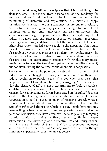that one should be egoistic on principle — that it is a bad thing to be altruistic, etc. — but stems from observation of the tendency for sacrifice and sacrificial ideology to be important factors in the maintaining of hierarchy and exploitation. It is merely a happy historical accident that there is a tendency for present revolutionary activity to be interesting and enjoyable; that being a tool of political manipulation is not only unpleasant but also unstrategic. The situationists were right to point out and affirm the playful aspects of radical struggles and the radical aspects of playful, apparently meaningless actions (vandalism, etc.). But the coincidence of these and other observations has led many people to the appealing if not quite logical conclusion that revolutionary activity is by definition pleasurable; or even that pleasure is by definition revolutionary. The problem is rather how to confront those situations where immediate pleasure does not automatically coincide with revolutionary needs: seeking ways to bring the two sides together (affective détournement) but not dissimulating the contradictions when this is not possible.

The same situationists who point out the stupidity of that leftism that reduces workers' struggles to purely economic issues, in their turn reduce revolution to purely "egoistic" issues when they insist that people are  $-$  or at least should be  $-$  only struggling "for themselves," "for the pleasure of it," etc. Their exhortations to "refuse sacrifice" substitute for any analysis or lead to false analyses. To denounce Maoism, for example, merely for its being based on "sacrifice" does not speak to the healthy, generous communitarian sentiments whose recuperation is at the source of much of Maoism's appeal. What is counterrevolutionary about Maoism is not sacrifice in itself, but the type of sacrifice and the use to which it is put. People have not only been willing, when necessary, to endure poverty, prison and other pains for revolution, they have often even done so joyously, foregoing material comfort as being relatively secondary, finding deeper satisfaction in the knowledge of the effectiveness and beauty of their acts. There are victories that are not visible to everyone, moments when one can see that one has "already won" a battle even though things may superficially seem the same as before.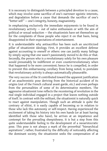It is necessary to distinguish between a principled devotion to a cause, which may involve some sacrifice of one's narrower egoistic interests, and degradation before a cause that demands the sacrifice of one's "better self" — one's integrity, honesty, magnanimity.

In emphasizing exclusively the immediate enjoyments to be found in revolutionary activity — out of naïve enthusiasm or with the aim of political or sexual seduction — the situationists have set themselves up for the complaints of those people who reject it on that basis, being disappointed in their expectations of entertainment.

It is understandable why antisacrifice has been such an uncriticized pillar of situationist ideology. First, it provides an excellent defense against accounting to oneself or others: one can justify many failings by simply saying that one wasn't passionately moved to do this or that. Secondly, the person who is a revolutionary solely for his own pleasure would presumably be indifferent or even counterrevolutionary when that happened to be more convenient; hence he is compelled, in order to prevent this embarrassing corollary from being noted, to postulate that revolutionary activity is always automatically pleasurable.

The very success of the SI contributed toward the apparent justification of an anachronistic pose deriving from the historical accident of its origins (out of the French cultural avant-garde, etc.) and even perhaps from the personalities of some of its determinative members. The aggressive situationist tone reflects the recentering of revolution in the real single individual engaged in a project that leaves nothing outside of itself. In contrast with the militant, the situationist is naturally quick to react against manipulation. Though such an attitude is quite the contrary of elitist, it is easily capable of becoming so in relation to those who lack this autonomy or self-respect. Having experienced the excitement of taking his history into his own hands (or at least having identified with those who have), he arrives at an impatience and contempt for the prevailing sheepishness. It is but a step from this quite understandable feeling to the development of a neoaristocratic pose. This pose is not always a mark of the proverbial "hierarchical aspirations"; rather, frustrated by the difficulty of noticeably affecting the dominant society, the situationist seeks the compensation of at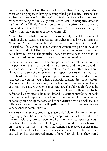least noticeably affecting the revolutionary milieu, of being recognized there as being right, as having accomplished good radical actions. His egoism becomes egotism. He begins to feel that he merits an unusual respect for being so unusually antihierarchical. He haughtily defends his "honor" or "dignity" when someone has the effrontery to criticize him, and he finds in the SI and its approved forebears a style that goes well with this new manner of viewing himself.

An intuitive dissatisfaction with this egotistic style is at the source of much of the discussions expressed somewhat misleadingly in terms of "femininity" and "masculinity." There is nothing intrinsically "masculine," for example, about writing; women are going to have to learn how to do it if they don't want to remain impotent. What they don't have to learn is the pointless neoaristocratic posturing that has characterized predominantly male situationist expression.

Some situationists have not had any particular natural inclination for this posturing. But it has been difficult to isolate and therefore avoid it, since accusations of "arrogance," "elitism," etc., are often mistakenly aimed at precisely the most trenchant aspects of situationist practice. It is hard not to feel superior upon having some pseudocritique addressed to you that you've heard and refuted a hundred times before. Moreover, a false modesty may be misleading. There are some things you can't let pass. Although a revolutionary should not think that he (or his group) is essential to the movement and is therefore to be defended by any means, he must defend his actions insofar as he feels that they reflect important aspects of that movement. It is not a matter of secretly storing up modesty and other virtues that God will see and ultimately reward, but of participating in a global movement whose very essence is communication.

The situationist scene, providing a favorable field of play for vanity and in-group games, has attracted many people with very little to do with the revolutionary project; people who in other circumstances would have been fops, dandies, social intriguers, cultural dilettantes, hangerson. It is true that the situationist movement has reacted against many of these elements with a vigor that was perhaps unexpected to them, and which has discouraged many others from thinking they could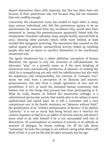disport themselves there with impunity. But this has often been not because of their pretentious role, but because they did not maintain that role credibly enough.

Conversely, the situationist scene has tended to repel other in many ways serious individuals who felt this pretentious egoism to be an anachronism far removed from any revolution they would have been interested in. Seeing this pretentiousness apparently linked with the situationists' trenchant radicality, many people facilely rejected both at once, choosing other pursuits which, while more limited, at least avoided this repugnant posturing. The movement that counted on the radical appeal of antirole, antisacrificial activity ended up repelling people who had no desire to sacrifice themselves to the reactionary situationist role.

The egoist situationist has a rather philistine conception of human liberation. His egoism is only the inversion of self-abasement. He advocates "play" in a juvenile sense, as if the mere breaking of restrictions were automatically productive of pleasure. In evoking the child, he is sympathizing not only with his rebelliousness but also with his impatience and irresponsibility. His criticism of "romantic love" stems not only from a perception of its illusions and neurotic possessiveness, but also from a simple ignorance of love and its possibilities. It isn't so much the alienated human community that bothers him as the things that prevent him from participating in it. What he really dreams of, behind the situationist verbiage, is a cybernetized spectacular society that would cater to his whims in more sophisticated and varied ways. He is still a consumer, and a very conspicuous one, in his frantic insistence on "pleasure without limit," the gratification of an "infinite multiplication of desires." If he dislikes "passivity" it is not so much that being forced into it restricts his creative impulses as that he is an addict of nervous activity and doesn't know what to do with himself if he is not surrounded with lots of distractions. Of contemplation as moment of activity, or of solitude as moment of dialogue, he knows nothing. For all his talk about "autonomy," he lacks the courage to act without caring what others will think of him. It is not his life that he takes seriously, but his ego.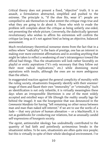Critical theory does not present a fixed, "objective" truth. It is an assault, a formulation abstracted, simplified and pushed to the extreme. The principle is, "If the shoe fits, wear it": people are compelled to ask themselves to what extent the critique rings true and what they are going to do about it. Those who wish to evade the problem will complain about the critique as being unfairly one-sided, not presenting the whole picture. Conversely, the dialectically ignorant revolutionary who wishes to affirm his extremism will confirm the critique (as long as it's not against him) as being an objective, balanced assessment.

Much revolutionary theoretical nonsense stems from the fact that in a milieu where "radicality" is the basis of prestige, one has an interest in making ever more extremist affirmations and in avoiding anything that might be taken to reflect a weakening of one's intransigence toward the official bad things. Thus the situationists will look rather favorably on playful or erotic aspirations ("it's only necessary that they follow out their most radical implications," etc.) while dismissing moral aspirations with insults, although the ones are no more ambiguous than the others.

In exaggerated reaction against the general complicity of morality with the ruling society, situationists frequently identify with their enemies' image of them and flaunt their own "immorality" or "criminality." Such an identification is not only infantile, it is virtually meaningless these days when an irresponsible libertinism is one of the most widely accepted and extolled ways of life (though the reality usually lags far behind the image). It was the bourgeoisie that was denounced in the *Communist Manifesto* for having "left remaining no other nexus between man and man than naked self-interest." If we are to use the works of a Sade — that very picture of human alienation — or a Machiavelli, it is not as guidebooks for conducting our relations, but as unusually candid self-expressions of bourgeois society.

The egoist, antimoralist ideology has undoubtedly contributed to the quantity of bad faith and pointlessly acrimonious breaks in the situationist milieu. To be sure, situationists are often quite nice people; but this is virtually in spite of their whole ideological environment. I've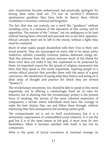seen situationists become embarrassed and practically apologize for having done some kind act. ("It was no sacrifice.") Whatever spontaneous goodness they have lacks its theory. Basic ethical vocabulary is inverted, confused and forgotten.

The fact that one can scarcely use a word like "goodness" without sounding corny is a measure of the alienation of this society and its opposition. The notions of the "virtues" are too ambiguous to be used without having been criticized and precised, but so are their opposites. Ethical concepts must not be left to the enemy without a fight; they must be contested.

Much of what makes people dissatisfied with their lives is their own moral poverty. They are encouraged on every side to be mean, petty, vindictive, spiteful, cowardly, covetous, jealous, dishonest, stingy, etc. That this pressure from the system removes much of the blame for these vices does not make it any less unpleasant to be possessed by them. An important reason for the spread of religious movements has been that they speak to this moral inquietude, inspiring people to a certain ethical practice that provides them with the peace of a good conscience, the satisfaction of saying what they believe and acting on it (that unity of thought and practice for which they are termed "fanatics").

The revolutionary movement, too, should be able to speak to this moral inquietude, not in offering a comfortingly fixed set of rules for behavior, but in showing that the revolutionary project is the present focus of meaning, the terrain of the most coherent expression of compassion; a terrain where individuals must have the courage to make the best choices they can and follow them through, without repressing their bad consequences but avoiding useless guilt.

The compassionate act is not in itself revolutionary, but it is a momentary supersession of commodified social relations. It is not the goal but it is of the same nature as the goal. It must avow its own limitedness. When it becomes satisfied with itself, it has lost its compassion.

What is the point of lyrical evocations of eventual revenge on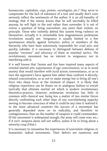bureaucrats, capitalists, cops, priests, sociologists, etc.? They serve to compensate for the lack of substance of a text and usually don't even seriously reflect the sentiments of the author. It is an old banality of strategy that if the enemy knows that he will inevitably be killed anyway, he will fight to the end rather than surrender. It is not of course a question of being nonviolent, any more than violent, on principle. Those who violently defend this system bring violence on themselves. Actually it is remarkable how magnanimous proletarian revolutions usually are. Vengeance is usually limited to a few spontaneous attacks against torturers, police or members of the hierarchy who have been notoriously responsible for cruel acts, and quickly subsides. It is necessary to distinguish between defense of popular "excesses" and advocacy of them as essential tactics. The revolutionary movement has no interest in vengeance; nor in interfering with it.

It is well known that Taoism and Zen have inspired many aspects of oriental martial arts: supersession of ego consciousness, so as to avoid anxiety that would interfere with lucid action; nonresistance, so as to turn the opponent's force against him rather than confront it directly; relaxed concentration, so as not to waste energy but to bring all one's force into sharp focus at the moment of impact. It is likely that religious experience can be drawn on in analogous fashion to enrich tactically that ultimate martial art which is modern revolutionary theoretico-practice. However, proletarian revolution has little in common with classical war, being less a matter of two similar forces directly confronting each other than of one overwhelming majority moving to become conscious of what it could be any time it realized it. In the more advanced countries the success of a movement has generally depended more on its radicality, and therefore its contagiousness, than on the number of weapons it could commandeer. (If the movement is widespread enough, the army will come over, etc.; if it isn't, weapons alone will not suffice, unless it be to bring about a minority coup d'état.)

It is necessary to reexamine the experiences of nonviolent religious or humanistic radical movements. Their defects are numerous and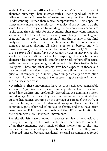evident: Their abstract affirmation of "humanity" is an affirmation of alienated humanity. Their abstract faith in man's good will leads to reliance on moral influencing of rulers and on promotion of mutual "understanding" rather than radical comprehension. Their appeal to transcendent moral laws reinforces the ability of the system to do the same. Their victories gained by wielding the economy as a weapon are at the same time victories for the economy. Their nonviolent struggles still rely on the threat of force, they only avoid being the direct agents of it, shifting its use to "public opinion" and thus usually in the final analysis to the state. Their exemplary acts often become merely symbolic gestures allowing all sides to go on as before, but with tensions relaxed, consciences eased by having "spoken out," "been true to one's principles." Identifying with Gandhi or Martin Luther King, the spectator has a rationalization for despising others who attack alienation less magnanimously; and for doing nothing himself because, well-intentioned people being found on both sides, the situation is too "complex." These and other defects have been exposed in theory and have exposed themselves in practice for a long time. It is no longer a question of tempering the rulers' power hunger, cruelty or corruption with ethical admonishments, but of suppressing the system in which such "abuses" can exist.

Nevertheless, these movements have at times achieved remarkable successes. Beginning from a few exemplary interventions, they have spread like wildfire and profoundly discredited the dominant system and ideology. At their best they have used — and often originated quite radical tactics, counting on the contagious spread of the truth, of the qualitative, as their fundamental weapon. Their practice of community puts other radical milieus to shame, and they have often been more explicit about their goals and the difficulties in attaining them than have more "advanced" movements.

The situationists have adopted a spectacular view of revolutionary history in fixating on its most visible, direct, "advanced" moments. Often these moments owed much of their momentum to the long preparatory influence of quieter, subtler currents. Often they were "advanced" merely because accidental external circumstances forced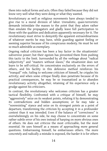them into radical forms and acts. Often they failed because they did not know very well what they were doing or what they wanted.

Revolutionary as well as religious movements have always tended to give rise to a moral division of labor. Unrealistic, quasi-terroristic demands intimidate the masses to the point that they adore rather than emulate the propagators and gladly leave full participation to those with the qualities and dedication apparently necessary for it. The revolutionary must strive to demystify the apparent extraordinariness of whatever merits he may have, while guarding against feeling or seeming superior because of his conspicuous modesty. He must be not so much admirable as exemplary.

Ongoing radical criticism has been a key factor in the situationists' subversive power; but their egoism has prevented them from pushing this tactic to the limit. Surrounded by all the verbiage about "radical subjectivity" and "masters without slaves," the situationist does not learn to be self-critical. He concentrates exclusively on the errors of others, and his facility in this defensive method reinforces his "tranquil" role. Failing to welcome criticism of himself, he cripples his activity; and when some critique finally does penetrate because of its practical consequences, he may be so traumatized as to abandon revolutionary activity altogether, retaining of his experience only a grudge against his criticizers.

In contrast, the revolutionary who welcomes criticism has a greater tactical flexibility. Confronted with a critique of himself, he may "aggressively" seize on its weakest points, refuting it by demonstrating its contradictions and hidden assumptions; or he may take a "nonresisting" stance and seize on its strongest points as a point of departure, transforming the criticism by accepting it in a profounder context than it was intended. Even if the balance of "correctness" is overwhelmingly on his side, he may choose to concentrate on some rather subtle error of his own instead of harping on more obvious ones of others. He does not criticize the most criticizable, but the most essential. He uses himself as a means of approaching more general questions. Embarrassing himself, he embarrasses others. The more concretely and radically a mistake is exposed, the harder it is for others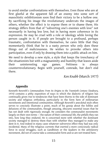to avoid similar confrontations with themselves. Even those who are at first gleeful at the apparent fall of an enemy into some sort of masochistic exhibitionism soon find their victory to be a hollow one. By sacrificing his image the revolutionary undercuts the images of others, whether the effect is to expose them or to shame them. His strategy differs from that of "subverting one's enemies with love" not necessarily in having less love, but in having more coherence in its expression. He may be cruel with a role or ideology while loving the person caught in it. If people are brought to a profound, perhaps traumatic, confrontation with themselves, he cares little that they momentarily think that he is a nasty person who only does these things out of maliciousness. He wishes to provoke others into participation, even if only by drawing them into a public attack on him. We need to develop a new style, a style that keeps the trenchancy of the situationists but with a magnanimity and humility that leaves aside their uninteresting ego games. Pettiness is always counterrevolutionary. Begin with yourself, comrade, but don't end there.

*Ken Knabb* (March 1977)

## Appendix

Kenneth Rexroth's *Communalism: From Its Origins to the Twentieth Century* (Seabury, 1974) contains a pithy exposition of ways in which the dialectic of religion has continually given rise to tendencies that have been thorns in the side of dominant society and religious orthodoxy, particularly in the form here of millenarian movements and intentional communities. Although Rexroth's anecdotal style often serves to concisely illustrate a point, much of his gossip about the foibles and delusions of the communalists, though amusing, obscures essential issues that he has not dealt with rigorously enough. He considers the communalist movements largely on their own terms — the nature of their communal life, the pitfalls they ran into, how long they endured. He is concerned more with whether the dominant society managed to destroy them than with whether they managed to make any dent in it. And indeed in many cases whatever subversive effect they had was only incidental. Many of the religious currents that exerted a more consciously radical force in social struggles, such as Gandhiism or the Quakers in the antislavery movement, did not of course take a communalist form and so are not treated here.